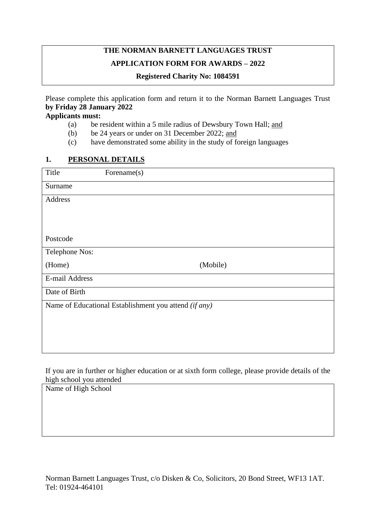# **THE NORMAN BARNETT LANGUAGES TRUST APPLICATION FORM FOR AWARDS – 2022**

#### **Registered Charity No: 1084591**

Please complete this application form and return it to the Norman Barnett Languages Trust **by Friday 28 January 2022**

#### **Applicants must:**

- (a) be resident within a 5 mile radius of Dewsbury Town Hall; and
- (b) be 24 years or under on 31 December 2022; and
- (c) have demonstrated some ability in the study of foreign languages

#### **1. PERSONAL DETAILS**

| Title                                                 | Forename(s) |  |  |
|-------------------------------------------------------|-------------|--|--|
| Surname                                               |             |  |  |
| Address                                               |             |  |  |
|                                                       |             |  |  |
|                                                       |             |  |  |
| Postcode                                              |             |  |  |
| Telephone Nos:                                        |             |  |  |
| (Home)                                                | (Mobile)    |  |  |
| E-mail Address                                        |             |  |  |
| Date of Birth                                         |             |  |  |
| Name of Educational Establishment you attend (if any) |             |  |  |
|                                                       |             |  |  |
|                                                       |             |  |  |
|                                                       |             |  |  |

If you are in further or higher education or at sixth form college, please provide details of the high school you attended

Name of High School

Norman Barnett Languages Trust, c/o Disken & Co, Solicitors, 20 Bond Street, WF13 1AT. Tel: 01924-464101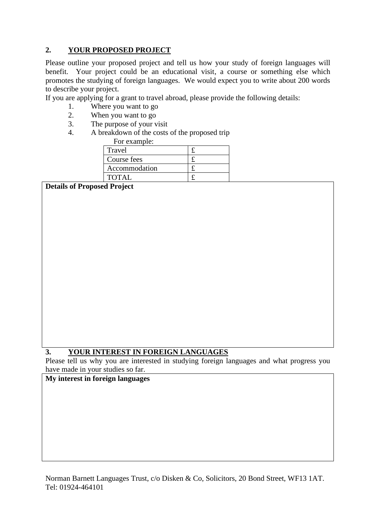# **2. YOUR PROPOSED PROJECT**

Please outline your proposed project and tell us how your study of foreign languages will benefit. Your project could be an educational visit, a course or something else which promotes the studying of foreign languages. We would expect you to write about 200 words to describe your project.

If you are applying for a grant to travel abroad, please provide the following details:

- 1. Where you want to go<br>2. When you want to go
- 2. When you want to go<br>3 The nurnose of your y
- The purpose of your visit
- 4. A breakdown of the costs of the proposed trip

| For example:  |  |
|---------------|--|
| Travel        |  |
| Course fees   |  |
| Accommodation |  |
| <b>TOTAL</b>  |  |

**Details of Proposed Project**

# **3. YOUR INTEREST IN FOREIGN LANGUAGES**

Please tell us why you are interested in studying foreign languages and what progress you have made in your studies so far.

### **My interest in foreign languages**

Norman Barnett Languages Trust, c/o Disken & Co, Solicitors, 20 Bond Street, WF13 1AT. Tel: 01924-464101